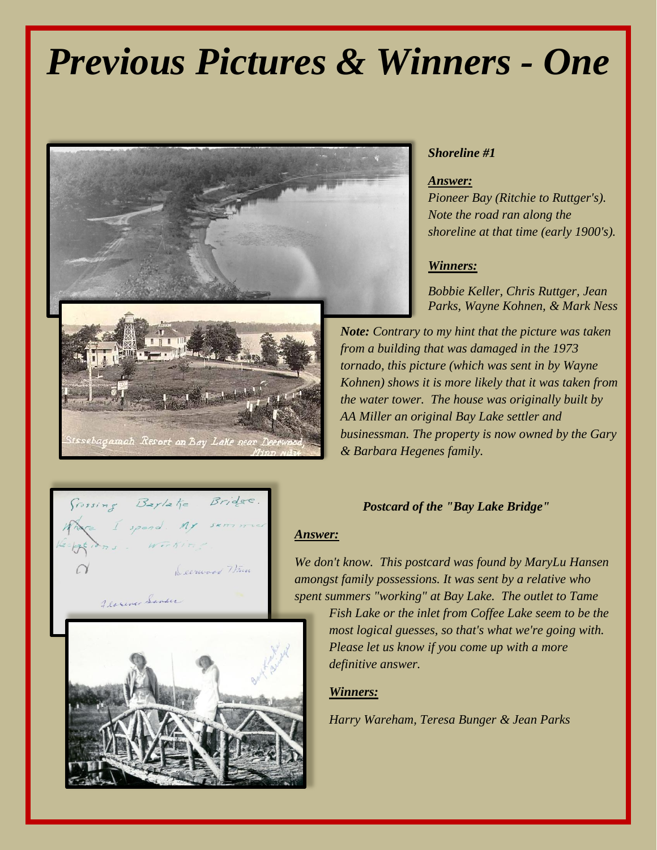# *Previous Pictures & Winners - One*



Bridge

Leerward Winn

### *Shoreline #1*

#### *Answer:*

*Pioneer Bay (Ritchie to Ruttger's). Note the road ran along the shoreline at that time (early 1900's).*

#### *Winners:*

*Bobbie Keller, Chris Ruttger, Jean Parks, Wayne Kohnen, & Mark Ness* 

*Note: Contrary to my hint that the picture was taken from a building that was damaged in the 1973 tornado, this picture (which was sent in by Wayne Kohnen) shows it is more likely that it was taken from the water tower. The house was originally built by AA Miller an original Bay Lake settler and businessman. The property is now owned by the Gary & Barbara Hegenes family.*

#### *Postcard of the "Bay Lake Bridge"*

#### *Answer:*

*We don't know. This postcard was found by MaryLu Hansen amongst family possessions. It was sent by a relative who spent summers "working" at Bay Lake. The outlet to Tame* 

> *Fish Lake or the inlet from Coffee Lake seem to be the most logical guesses, so that's what we're going with. Please let us know if you come up with a more definitive answer.*

#### *Winners:*

*Harry Wareham, Teresa Bunger & Jean Parks*



 $B_z$ /2 $\frac{1}{10}$ 

 $f$ rossing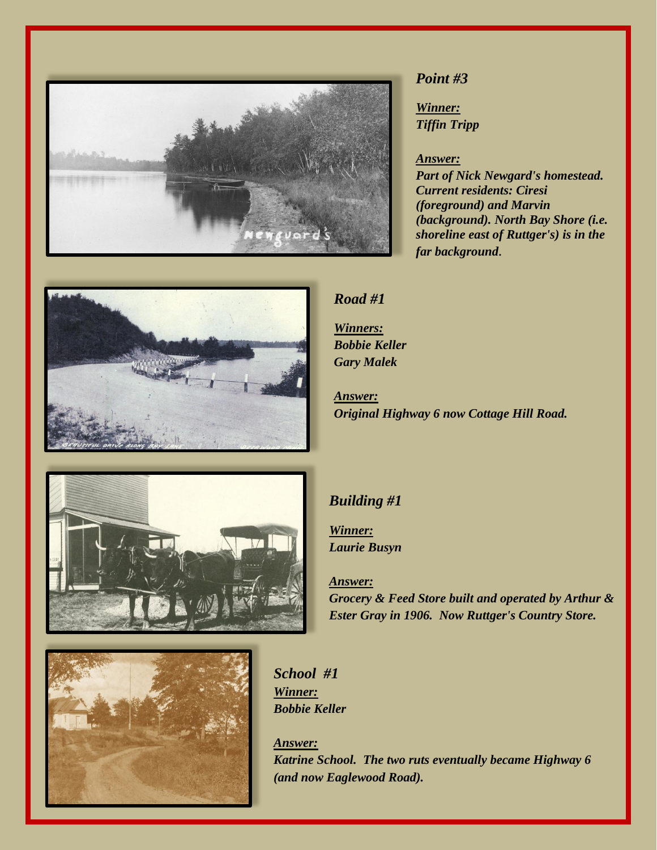

## *Point #3*

*Winner: Tiffin Tripp*

#### *Answer:*

*Part of Nick Newgard's homestead. Current residents: Ciresi (foreground) and Marvin (background). North Bay Shore (i.e. shoreline east of Ruttger's) is in the far background.*



## *Road #1*

*Winners: Bobbie Keller Gary Malek*

*Answer: Original Highway 6 now Cottage Hill Road.*



## *Building #1*

*Winner: Laurie Busyn*

*Answer: Grocery & Feed Store built and operated by Arthur & Ester Gray in 1906. Now Ruttger's Country Store.*



*School #1 Winner: Bobbie Keller*

*Answer: Katrine School. The two ruts eventually became Highway 6 (and now Eaglewood Road).*